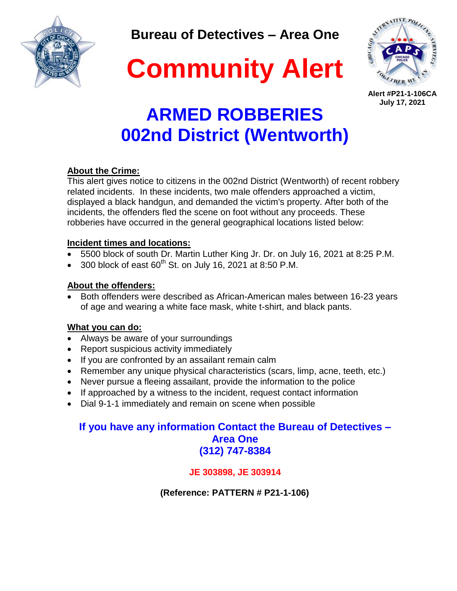

**Bureau of Detectives – Area One**





**Alert #P21-1-106CA July 17, 2021**

# **ARMED ROBBERIES 002nd District (Wentworth)**

### **About the Crime:**

This alert gives notice to citizens in the 002nd District (Wentworth) of recent robbery related incidents. In these incidents, two male offenders approached a victim, displayed a black handgun, and demanded the victim's property. After both of the incidents, the offenders fled the scene on foot without any proceeds. These robberies have occurred in the general geographical locations listed below:

### **Incident times and locations:**

- 5500 block of south Dr. Martin Luther King Jr. Dr. on July 16, 2021 at 8:25 P.M.
- 300 block of east  $60^{th}$  St. on July 16, 2021 at 8:50 P.M.

#### **About the offenders:**

 Both offenders were described as African-American males between 16-23 years of age and wearing a white face mask, white t-shirt, and black pants.

### **What you can do:**

- Always be aware of your surroundings
- Report suspicious activity immediately
- If you are confronted by an assailant remain calm
- Remember any unique physical characteristics (scars, limp, acne, teeth, etc.)
- Never pursue a fleeing assailant, provide the information to the police
- If approached by a witness to the incident, request contact information
- Dial 9-1-1 immediately and remain on scene when possible

## **If you have any information Contact the Bureau of Detectives – Area One (312) 747-8384**

### **JE 303898, JE 303914**

 **(Reference: PATTERN # P21-1-106)**